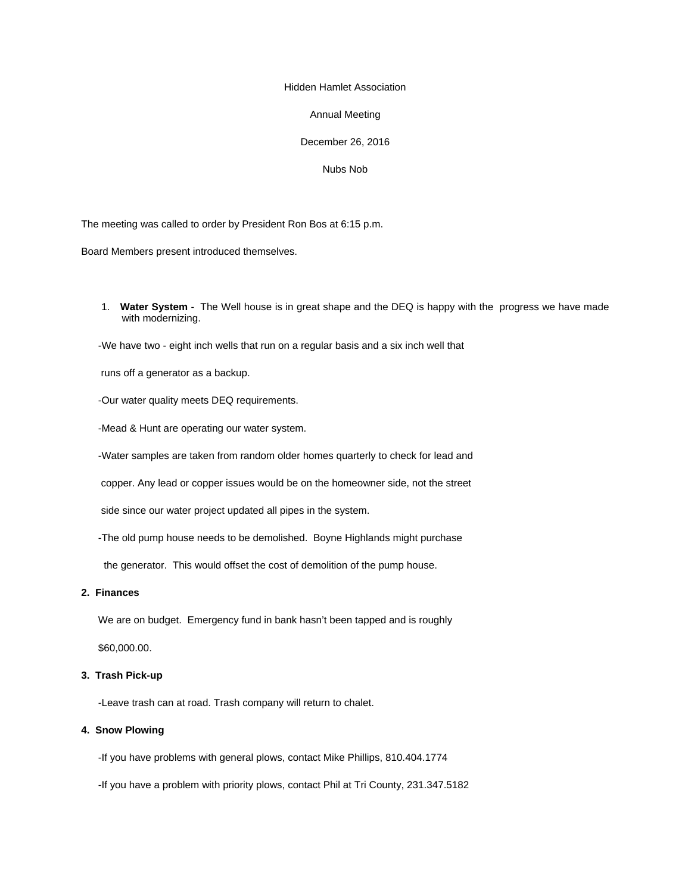# Hidden Hamlet Association

#### Annual Meeting

# December 26, 2016

# Nubs Nob

The meeting was called to order by President Ron Bos at 6:15 p.m.

Board Members present introduced themselves.

1. **Water System** - The Well house is in great shape and the DEQ is happy with the progress we have made with modernizing.

-We have two - eight inch wells that run on a regular basis and a six inch well that

runs off a generator as a backup.

-Our water quality meets DEQ requirements.

-Mead & Hunt are operating our water system.

-Water samples are taken from random older homes quarterly to check for lead and

copper. Any lead or copper issues would be on the homeowner side, not the street

side since our water project updated all pipes in the system.

-The old pump house needs to be demolished. Boyne Highlands might purchase

the generator. This would offset the cost of demolition of the pump house.

#### **2. Finances**

 We are on budget. Emergency fund in bank hasn't been tapped and is roughly \$60,000.00.

# **3. Trash Pick-up**

-Leave trash can at road. Trash company will return to chalet.

# **4. Snow Plowing**

-If you have problems with general plows, contact Mike Phillips, 810.404.1774

-If you have a problem with priority plows, contact Phil at Tri County, 231.347.5182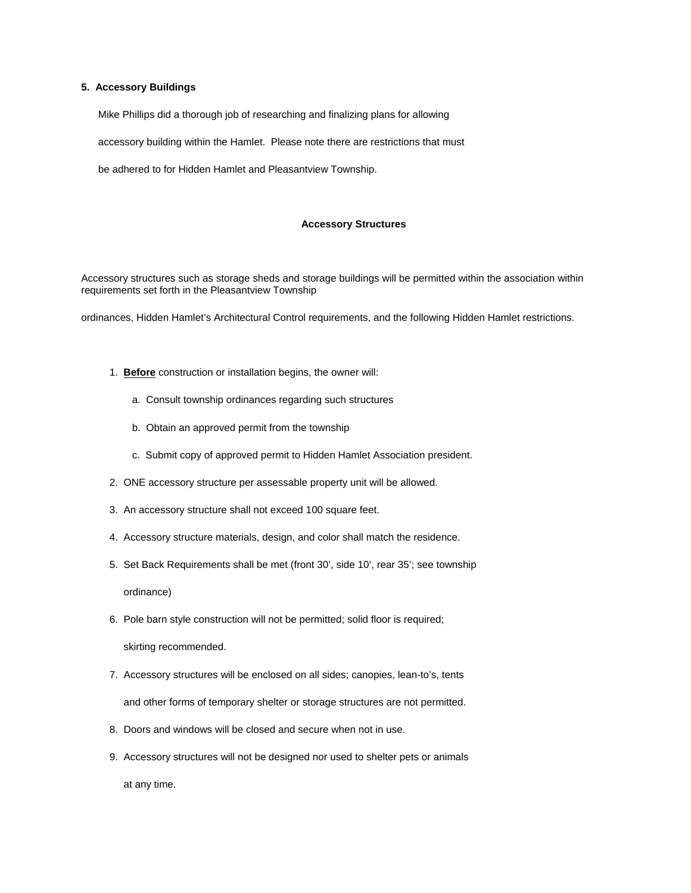# **5. Accessory Buildings**

Mike Phillips did a thorough job of researching and finalizing plans for allowing

accessory building within the Hamlet. Please note there are restrictions that must

be adhered to for Hidden Hamlet and Pleasantview Township.

#### **Accessory Structures**

Accessory structures such as storage sheds and storage buildings will be permitted within the association within requirements set forth in the Pleasantview Township

ordinances, Hidden Hamlet's Architectural Control requirements, and the following Hidden Hamlet restrictions.

- 1. **Before** construction or installation begins, the owner will:
	- a. Consult township ordinances regarding such structures
	- b. Obtain an approved permit from the township
	- c. Submit copy of approved permit to Hidden Hamlet Association president.
- 2. ONE accessory structure per assessable property unit will be allowed.
- 3. An accessory structure shall not exceed 100 square feet.
- 4. Accessory structure materials, design, and color shall match the residence.
- 5. Set Back Requirements shall be met (front 30', side 10', rear 35'; see township

ordinance)

6. Pole barn style construction will not be permitted; solid floor is required;

skirting recommended.

- 7. Accessory structures will be enclosed on all sides; canopies, lean-to's, tents and other forms of temporary shelter or storage structures are not permitted.
- 8. Doors and windows will be closed and secure when not in use.
- 9. Accessory structures will not be designed nor used to shelter pets or animals at any time.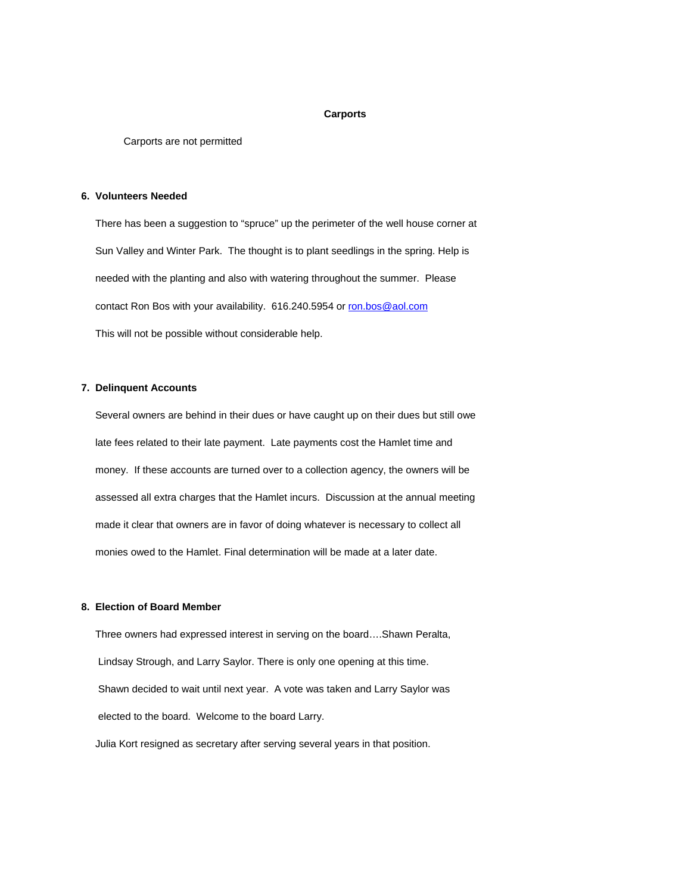#### **Carports**

Carports are not permitted

#### **6. Volunteers Needed**

 There has been a suggestion to "spruce" up the perimeter of the well house corner at Sun Valley and Winter Park. The thought is to plant seedlings in the spring. Help is needed with the planting and also with watering throughout the summer. Please contact Ron Bos with your availability. 616.240.5954 or ron.bos@aol.com This will not be possible without considerable help.

# **7. Delinquent Accounts**

 Several owners are behind in their dues or have caught up on their dues but still owe late fees related to their late payment. Late payments cost the Hamlet time and money. If these accounts are turned over to a collection agency, the owners will be assessed all extra charges that the Hamlet incurs. Discussion at the annual meeting made it clear that owners are in favor of doing whatever is necessary to collect all monies owed to the Hamlet. Final determination will be made at a later date.

#### **8. Election of Board Member**

Three owners had expressed interest in serving on the board….Shawn Peralta, Lindsay Strough, and Larry Saylor. There is only one opening at this time. Shawn decided to wait until next year. A vote was taken and Larry Saylor was elected to the board. Welcome to the board Larry. Julia Kort resigned as secretary after serving several years in that position.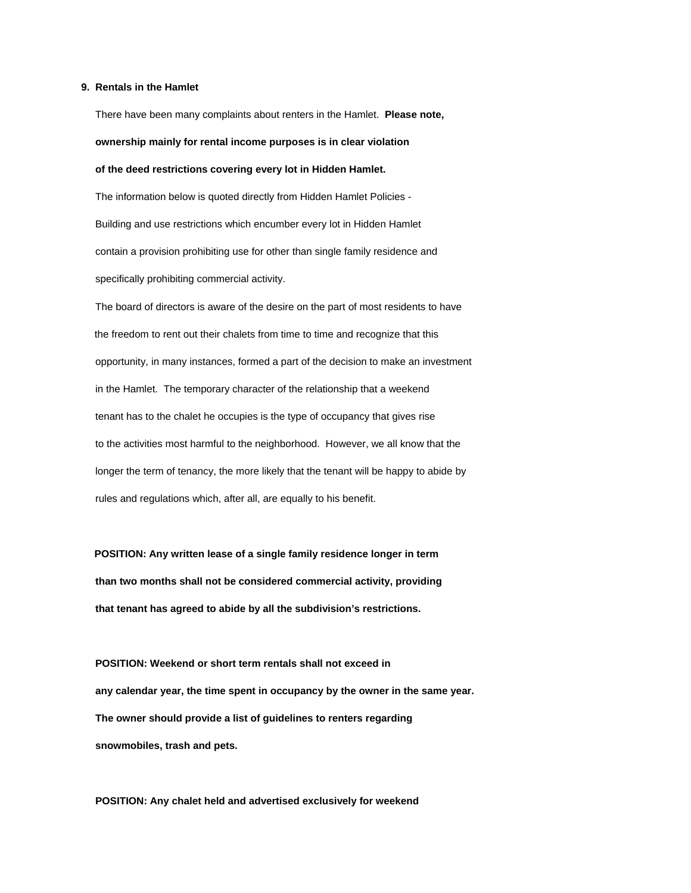# **9. Rentals in the Hamlet**

There have been many complaints about renters in the Hamlet. **Please note, ownership mainly for rental income purposes is in clear violation of the deed restrictions covering every lot in Hidden Hamlet.** The information below is quoted directly from Hidden Hamlet Policies - Building and use restrictions which encumber every lot in Hidden Hamlet contain a provision prohibiting use for other than single family residence and

specifically prohibiting commercial activity.

 The board of directors is aware of the desire on the part of most residents to have the freedom to rent out their chalets from time to time and recognize that this opportunity, in many instances, formed a part of the decision to make an investment in the Hamlet. The temporary character of the relationship that a weekend tenant has to the chalet he occupies is the type of occupancy that gives rise to the activities most harmful to the neighborhood. However, we all know that the longer the term of tenancy, the more likely that the tenant will be happy to abide by rules and regulations which, after all, are equally to his benefit.

 **POSITION: Any written lease of a single family residence longer in term than two months shall not be considered commercial activity, providing that tenant has agreed to abide by all the subdivision's restrictions.**

 **POSITION: Weekend or short term rentals shall not exceed in any calendar year, the time spent in occupancy by the owner in the same year. The owner should provide a list of guidelines to renters regarding snowmobiles, trash and pets.**

 **POSITION: Any chalet held and advertised exclusively for weekend**